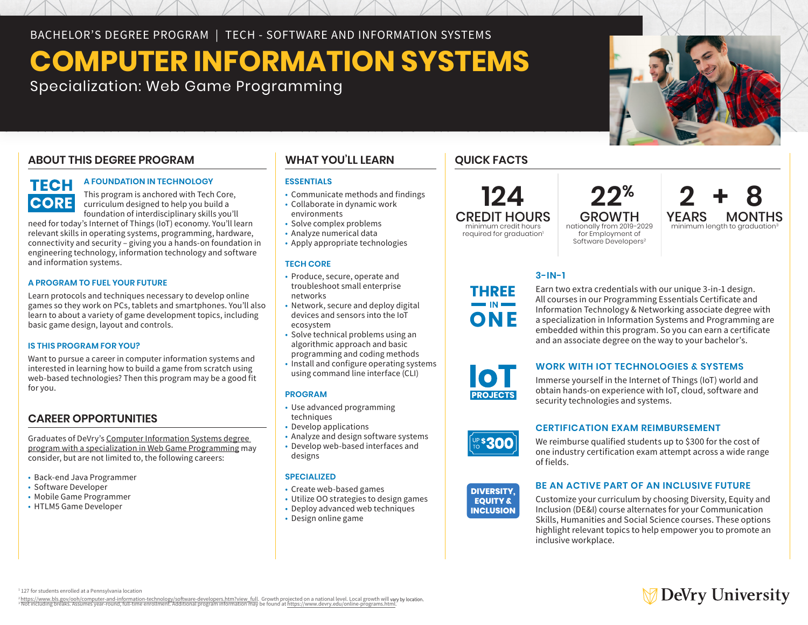BACHELOR'S DEGREE PROGRAM | TECH - SOFTWARE AND INFORMATION SYSTEMS

# **COMPUTER INFORMATION SYSTEMS**

Specialization: Web Game Programming

# **ABOUT THIS DEGREE PROGRAM**

# **TECH CORE**

#### **A FOUNDATION IN TECHNOLOGY**

This program is anchored with Tech Core, curriculum designed to help you build a foundation of interdisciplinary skills you'll

need for today's Internet of Things (IoT) economy. You'll learn relevant skills in operating systems, programming, hardware, connectivity and security – giving you a hands-on foundation in engineering technology, information technology and software and information systems.

#### **A PROGRAM TO FUEL YOUR FUTURE**

Learn protocols and techniques necessary to develop online games so they work on PCs, tablets and smartphones. You'll also learn to about a variety of game development topics, including basic game design, layout and controls.

#### **IS THIS PROGRAM FOR YOU?**

Want to pursue a career in computer information systems and interested in learning how to build a game from scratch using web-based technologies? Then this program may be a good fit for you.

## **CAREER OPPORTUNITIES**

Graduates of DeVry's Computer Information Systems degree program with a specialization in Web Game Programming may consider, but are not limited to, the following careers:

- Back-end Java Programmer
- Software Developer
- Mobile Game Programmer
- HTLM5 Game Developer

## **WHAT YOU'LL LEARN**

#### **ESSENTIALS**

- Communicate methods and findings
- Collaborate in dynamic work environments
- Solve complex problems
- Analyze numerical data
- Apply appropriate technologies

#### **TECH CORE**

- Produce, secure, operate and troubleshoot small enterprise networks
- Network, secure and deploy digital devices and sensors into the IoT ecosystem
- Solve technical problems using an algorithmic approach and basic
- programming and coding methods
- Install and configure operating systems using command line interface (CLI)

#### **PROGRAM**

- Use advanced programming techniques
- Develop applications
- Analyze and design software systems
- Develop web-based interfaces and designs

#### **SPECIALIZED**

- Create web-based games
- Utilize OO strategies to design games
- Deploy advanced web techniques • Design online game

# **QUICK FACTS**

**THREE** 

ONF

# **124**

CREDIT HOURS minimum credit hours required for graduation<sup>1</sup>

**YEARS MONTHS**<br>minimum length to graduation<sup>3</sup> GROWTH nationally from 2019-2029 for Employment of Software Developers<sup>2</sup>

 **22%**

## **3-IN-1**

Earn two extra credentials with our unique 3-in-1 design. All courses in our Programming Essentials Certificate and Information Technology & Networking associate degree with a specialization in Information Systems and Programming are embedded within this program. So you can earn a certificate and an associate degree on the way to your bachelor's.

### **WORK WITH IOT TECHNOLOGIES & SYSTEMS**

Immerse yourself in the Internet of Things (IoT) world and obtain hands-on experience with IoT, cloud, software and security technologies and systems.



10 **PROJECTS** 

#### **CERTIFICATION EXAM REIMBURSEMENT**

We reimburse qualified students up to \$300 for the cost of one industry certification exam attempt across a wide range of fields.



#### **BE AN ACTIVE PART OF AN INCLUSIVE FUTURE**

Customize your curriculum by choosing Diversity, Equity and Inclusion (DE&I) course alternates for your Communication Skills, Humanities and Social Science courses. These options highlight relevant topics to help empower you to promote an inclusive workplace.

# **DeVry University**

<sup>1</sup> 127 for students enrolled at a Pennsylvania location

? https://www.bls.gov/ool/computer-and-information-technology/software-developers.htm?view\_full. Growth projected on a national level. Local growth will **vary** by **boation.**<br>↑ Not including breaks. Assumes year-round, fu



**2 + 8**